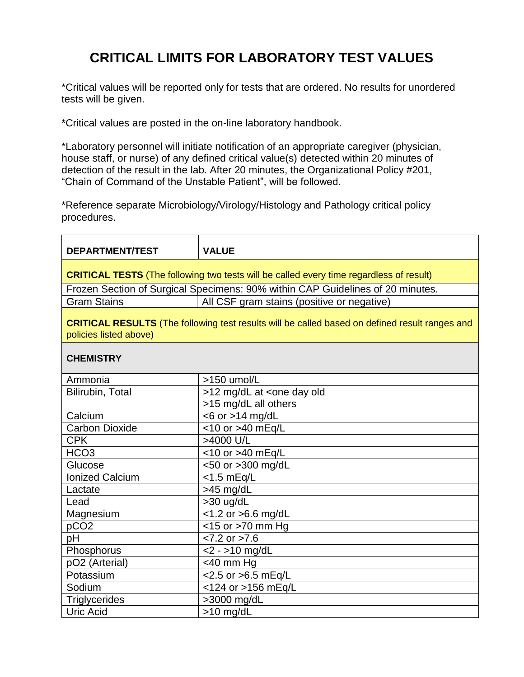## **CRITICAL LIMITS FOR LABORATORY TEST VALUES**

\*Critical values will be reported only for tests that are ordered. No results for unordered tests will be given.

\*Critical values are posted in the on-line laboratory handbook.

\*Laboratory personnel will initiate notification of an appropriate caregiver (physician, house staff, or nurse) of any defined critical value(s) detected within 20 minutes of detection of the result in the lab. After 20 minutes, the Organizational Policy #201, "Chain of Command of the Unstable Patient", will be followed.

\*Reference separate Microbiology/Virology/Histology and Pathology critical policy procedures.

| <b>DEPARTMENT/TEST</b>                                                                                                          | <b>VALUE</b>                                  |  |  |
|---------------------------------------------------------------------------------------------------------------------------------|-----------------------------------------------|--|--|
| <b>CRITICAL TESTS</b> (The following two tests will be called every time regardless of result)                                  |                                               |  |  |
| Frozen Section of Surgical Specimens: 90% within CAP Guidelines of 20 minutes.                                                  |                                               |  |  |
| <b>Gram Stains</b>                                                                                                              | All CSF gram stains (positive or negative)    |  |  |
| <b>CRITICAL RESULTS</b> (The following test results will be called based on defined result ranges and<br>policies listed above) |                                               |  |  |
| <b>CHEMISTRY</b>                                                                                                                |                                               |  |  |
| Ammonia                                                                                                                         | >150 umol/L                                   |  |  |
| Bilirubin, Total                                                                                                                | >12 mg/dL at <one day="" old<="" td=""></one> |  |  |
|                                                                                                                                 | >15 mg/dL all others                          |  |  |
| Calcium                                                                                                                         | $<$ 6 or >14 mg/dL                            |  |  |
| <b>Carbon Dioxide</b>                                                                                                           | <10 or >40 mEq/L                              |  |  |
| <b>CPK</b>                                                                                                                      | >4000 U/L                                     |  |  |
| HCO <sub>3</sub>                                                                                                                | <10 or >40 mEq/L                              |  |  |
| Glucose                                                                                                                         | <50 or >300 mg/dL                             |  |  |
| <b>Ionized Calcium</b>                                                                                                          | $<$ 1.5 mEq/L                                 |  |  |
| Lactate                                                                                                                         | $>45$ mg/dL                                   |  |  |
| Lead                                                                                                                            | >30 ug/dL                                     |  |  |
| Magnesium                                                                                                                       | <1.2 or >6.6 mg/dL                            |  |  |
| pCO <sub>2</sub>                                                                                                                | <15 or >70 mm Hg                              |  |  |
| pH                                                                                                                              | $< 7.2$ or $> 7.6$                            |  |  |
| Phosphorus                                                                                                                      | $<$ 2 - >10 mg/dL                             |  |  |
| pO2 (Arterial)                                                                                                                  | $<$ 40 mm Hg                                  |  |  |
| Potassium                                                                                                                       | <2.5 or >6.5 mEq/L                            |  |  |
| Sodium                                                                                                                          | <124 or >156 mEq/L                            |  |  |
| <b>Triglycerides</b>                                                                                                            | >3000 mg/dL                                   |  |  |
| <b>Uric Acid</b>                                                                                                                | $>10$ mg/dL                                   |  |  |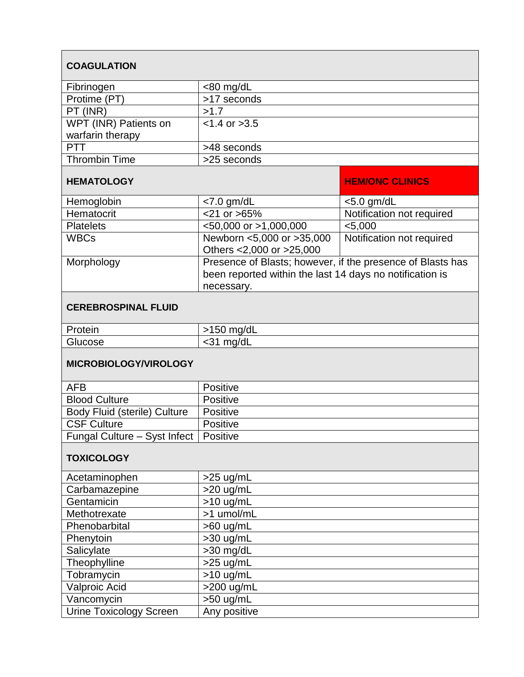| <b>COAGULATION</b>                      |                                                                                                                                      |                           |  |
|-----------------------------------------|--------------------------------------------------------------------------------------------------------------------------------------|---------------------------|--|
| Fibrinogen                              | <80 mg/dL                                                                                                                            |                           |  |
| Protime (PT)                            | >17 seconds                                                                                                                          |                           |  |
| PT (INR)                                | >1.7                                                                                                                                 |                           |  |
| WPT (INR) Patients on                   | $< 1.4$ or $> 3.5$                                                                                                                   |                           |  |
| warfarin therapy                        |                                                                                                                                      |                           |  |
| PTT                                     | >48 seconds                                                                                                                          |                           |  |
| <b>Thrombin Time</b>                    | >25 seconds                                                                                                                          |                           |  |
| <b>HEMATOLOGY</b>                       |                                                                                                                                      | <b>HEM/ONC CLINICS</b>    |  |
| Hemoglobin                              | $<$ 7.0 gm/dL                                                                                                                        | $<$ 5.0 gm/dL             |  |
| Hematocrit                              | $<$ 21 or $>$ 65%                                                                                                                    | Notification not required |  |
| <b>Platelets</b>                        | <50,000 or >1,000,000                                                                                                                | $<$ 5,000                 |  |
| <b>WBCs</b>                             | Newborn <5,000 or >35,000<br>Others <2,000 or >25,000                                                                                | Notification not required |  |
| Morphology                              | Presence of Blasts; however, if the presence of Blasts has<br>been reported within the last 14 days no notification is<br>necessary. |                           |  |
| <b>CEREBROSPINAL FLUID</b>              |                                                                                                                                      |                           |  |
| Protein                                 | $>150$ mg/dL                                                                                                                         |                           |  |
| Glucose                                 | <31 mg/dL                                                                                                                            |                           |  |
| <b>MICROBIOLOGY/VIROLOGY</b>            |                                                                                                                                      |                           |  |
| <b>AFB</b>                              | Positive                                                                                                                             |                           |  |
| <b>Blood Culture</b>                    | Positive                                                                                                                             |                           |  |
| <b>Body Fluid (sterile) Culture</b>     | Positive                                                                                                                             |                           |  |
| <b>CSF Culture</b>                      | Positive                                                                                                                             |                           |  |
| Fungal Culture - Syst Infect   Positive |                                                                                                                                      |                           |  |
| <b>TOXICOLOGY</b>                       |                                                                                                                                      |                           |  |
| Acetaminophen                           | $>25$ ug/mL                                                                                                                          |                           |  |
| Carbamazepine                           | $>20$ ug/mL                                                                                                                          |                           |  |
| Gentamicin                              | $>10$ ug/mL                                                                                                                          |                           |  |
| Methotrexate                            | >1 umol/mL                                                                                                                           |                           |  |
| Phenobarbital                           | $>60$ ug/mL                                                                                                                          |                           |  |
| Phenytoin                               | >30 ug/mL                                                                                                                            |                           |  |
| Salicylate                              | >30 mg/dL                                                                                                                            |                           |  |
| Theophylline                            | $>25$ ug/mL                                                                                                                          |                           |  |
| Tobramycin                              | $>10$ ug/mL                                                                                                                          |                           |  |
| Valproic Acid                           | >200 ug/mL                                                                                                                           |                           |  |
| Vancomycin                              | $>50$ ug/mL                                                                                                                          |                           |  |
| <b>Urine Toxicology Screen</b>          | Any positive                                                                                                                         |                           |  |